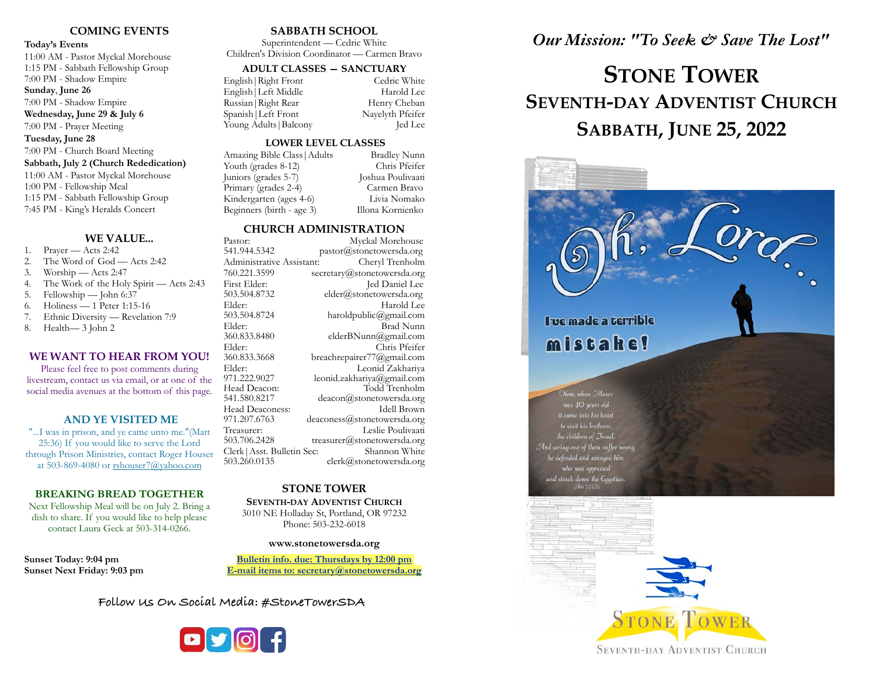### **COMING EVENTS**

#### **Today's Events**

11:00 AM - Pastor Myckal Morehouse 1:15 PM - Sabbath Fellowship Group 7:00 PM - Shadow Empire **Sunday**, **June 26**

7:00 PM - Shadow Empire

**Wednesday, June 29 & July 6** 7:00 PM - Prayer Meeting

**Tuesday, June 28**

### 7:00 PM - Church Board Meeting

**Sabbath, July 2 (Church Rededication)** 11:00 AM - Pastor Myckal Morehouse 1:00 PM - Fellowship Meal 1:15 PM - Sabbath Fellowship Group 7:45 PM - King's Heralds Concert

### **WE VALUE...**

- 1. Prayer Acts 2:42
- 2. The Word of God Acts 2:42
- 3. Worship Acts 2:47
- 4. The Work of the Holy Spirit Acts 2:43
- 5. Fellowship John 6:37
- 6. Holiness 1 Peter 1:15-16
- 7. Ethnic Diversity Revelation 7:9
- 8. Health— 3 John 2

### **WE WANT TO HEAR FROM YOU!**

Please feel free to post comments during livestream, contact us via email, or at one of the social media avenues at the bottom of this page.

### **AND YE VISITED ME**

"...I was in prison, and ye came unto me."(Matt 25:36) If you would like to serve the Lord through Prison Ministries, contact Roger Houser at 503-869-4080 or [rshouser7@yahoo.com](mailto:rshouser7@yahoo.com)

### **BREAKING BREAD TOGETHER**

Next Fellowship Meal will be on July 2. Bring a dish to share. If you would like to help please contact Laura Geck at 503-314-0266.

**Sunset Today: 9:04 pm Sunset Next Friday: 9:03 pm** 

### **SABBATH SCHOOL**

Superintendent — Cedric White Children's Division Coordinator — Carmen Bravo

### **ADULT CLASSES — SANCTUARY**

| English   Right Front  | Cedric White     |
|------------------------|------------------|
| English   Left Middle  | Harold Lee       |
| Russian   Right Rear   | Henry Cheban     |
| Spanish   Left Front   | Nayelyth Pfeifer |
| Young Adults   Balcony | Jed Lee          |

### **LOWER LEVEL CLASSES**

| <b>Bradley Nunn</b> |
|---------------------|
| Chris Pfeifer       |
| Joshua Poulivaati   |
| Carmen Bravo        |
| Livia Nomako        |
| Illona Kornienko    |
|                     |

### **CHURCH ADMINISTRATION**

 Clerk|Asst. Bulletin Sec: Shannon White Pastor: Myckal Morehouse<br>541.944.5342 pastor@stonetowersda.org [pastor@stonetowersda.org](mailto:pastor@stonetowersda.org) Administrative Assistant: Cheryl Trenholm 760.221.3599 secretary@stonetowersda.org First Elder: Jed Daniel Lee<br>503.504.8732 elder@stonetowersda.org [elder@stonetowersda.org](mailto:elder@stonetowersda.org) Elder: Harold Lee<br>503.504.8724 haroldpublic@gmail.com haroldpublic@gmail.com Elder: Brad Nunn<br>360.833.8480 elderBNunn@gmail.com elderBNunn@gmail.com Elder: Chris Pfeifer<br>360.833.3668 breachrepairer77@omail.com 360.833.3668 breachrepairer77@gmail.com Elder: Leonid Zakhariya<br>971.222.9027 leonid zakhariya@omail.com 971.222.9027 [leonid.zakhariya@gmail.com](mailto:leonid.zakhariya@gmail.com) Head Deacon: Todd Trenholm<br>541.580.8217 deacon@stonetowersda.org [deacon@stonetowersda.org](mailto:deacon@stonetowersda.org) Head Deaconess: Idell Brown<br>971.207.6763 deaconess@stonetowersda.org [deaconess@stonetowersda.org](mailto:deaconess@stonetowersda.org) Treasurer: Leslie Poulivaati<br>503.706.2428 treasurer@stonetowersda.org [treasurer@stonetowersda.org](mailto:treasurer@stonetowersda.org) 503.260.0135 clerk@stonetowersda.org

### **STONE TOWER SEVENTH-DAY ADVENTIST CHURCH**

 3010 NE Holladay St, Portland, OR 97232 Phone: 503-232-6018

#### **[www.stonetowersda.org](http://www.stonetowersda.org)**

**Bulletin info. due: Thursdays by 12:00 pm E-mail items to: secretary@stonetowersda.org**

**Follow Us On Social Media: #StoneTowerSDA**



### *Our Mission: "To Seek & Save The Lost"*

# **STONE TOWER SEVENTH-DAY ADVENTIST CHURCH SABBATH, JUNE 25, 2022**